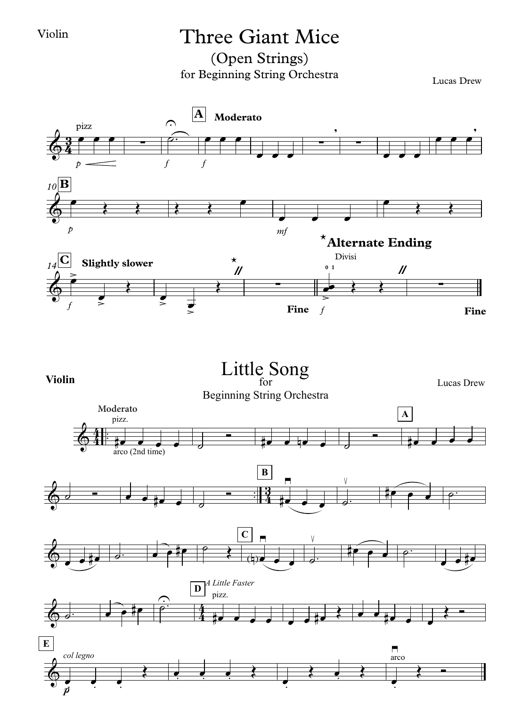## Violin Three Giant Mice

(Open Strings) for Beginning String Orchestra Lucas Drew



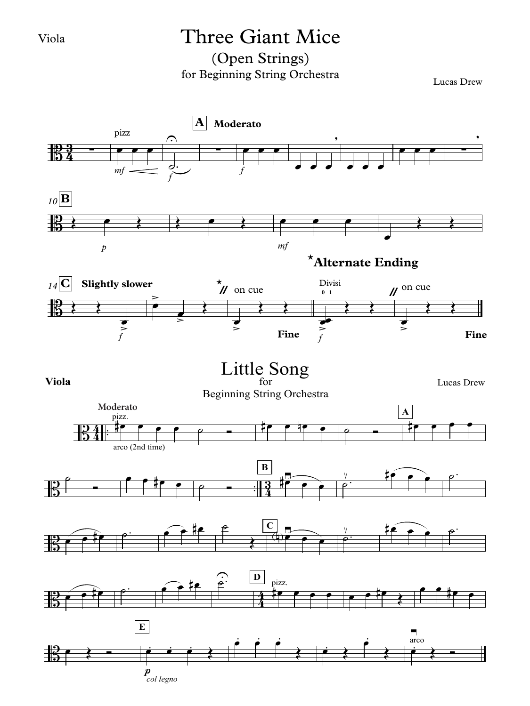#### Viola

## Three Giant Mice

### (Open Strings) for Beginning String Orchestra

Lucas Drew

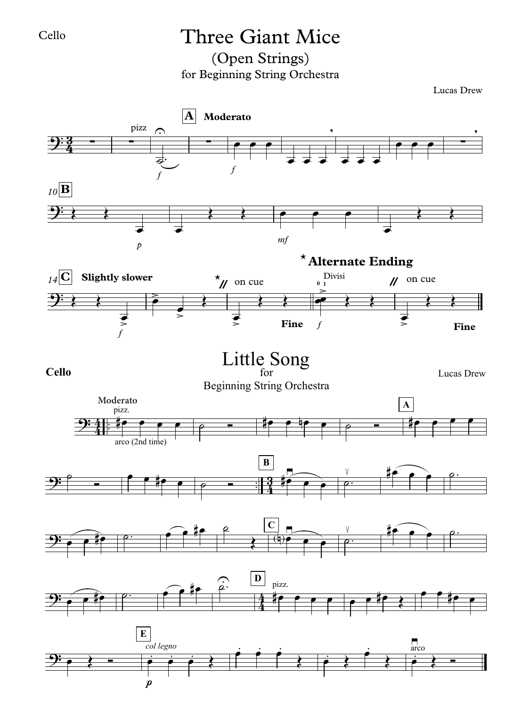## Cello Three Giant Mice

(Open Strings) for Beginning String Orchestra

Lucas Drew